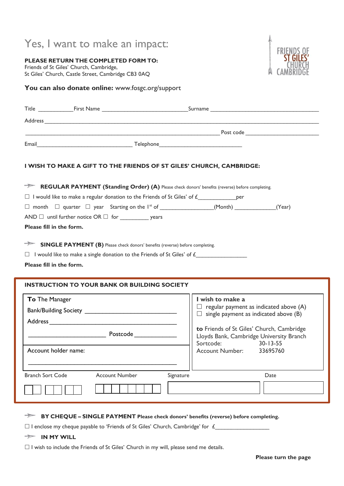# Yes, I want to make an impact:

**PLEASE RETURN THE COMPLETED FORM TO:** Friends of St Giles' Church, Cambridge, St Giles' Church, Castle Street, Cambridge CB3 0AQ



### You can also donate online: www.fosgc.org/support

| I WISH TO MAKE A GIFT TO THE FRIENDS OF ST GILES' CHURCH, CAMBRIDGE:                                    |                                                                                               |
|---------------------------------------------------------------------------------------------------------|-----------------------------------------------------------------------------------------------|
| <b>EXEGULAR PAYMENT (Standing Order) (A)</b> Please check donors' benefits (reverse) before completing. |                                                                                               |
|                                                                                                         |                                                                                               |
|                                                                                                         |                                                                                               |
|                                                                                                         |                                                                                               |
| Please fill in the form.                                                                                |                                                                                               |
| <b>INSTRUCTION TO YOUR BANK OR BUILDING SOCIETY</b>                                                     |                                                                                               |
| To The Manager                                                                                          | I wish to make a                                                                              |
|                                                                                                         | $\Box$ regular payment as indicated above (A)<br>$\Box$ single payment as indicated above (B) |
|                                                                                                         |                                                                                               |
|                                                                                                         | to Friends of St Giles' Church, Cambridge<br>Lloyds Bank, Cambridge University Branch         |
|                                                                                                         | Sortcode:<br>$30 - 13 - 55$                                                                   |
| Account holder name:                                                                                    | <b>Account Number:</b><br>33695760                                                            |
|                                                                                                         |                                                                                               |
| <b>Branch Sort Code</b><br><b>Account Number</b>                                                        | Signature<br>Date                                                                             |
|                                                                                                         |                                                                                               |
|                                                                                                         |                                                                                               |

**BY CHEQUE – SINGLE PAYMENT Please check donors' benefits (reverse) before completing.**

 $\square$  I enclose my cheque payable to 'Friends of St Giles' Church, Cambridge' for  $f$ 

**IN MY WILL**

 $\Box$  I wish to include the Friends of St Giles' Church in my will, please send me details.